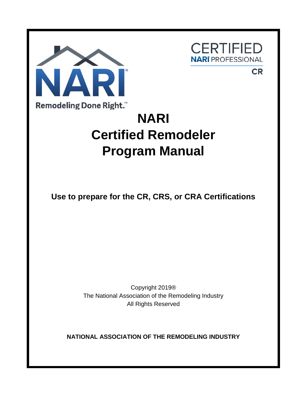

**CERTIFIED NARI** PROFESSIONAL

**CR** 

# **NARI Certified Remodeler Program Manual**

**Use to prepare for the CR, CRS, or CRA Certifications**

Copyright 2019® The National Association of the Remodeling Industry All Rights Reserved

**NATIONAL ASSOCIATION OF THE REMODELING INDUSTRY**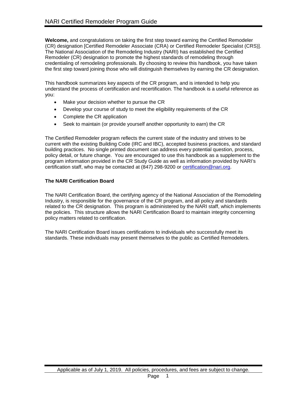**Welcome,** and congratulations on taking the first step toward earning the Certified Remodeler (CR) designation [Certified Remodeler Associate (CRA) or Certified Remodeler Specialist (CRS)]. The National Association of the Remodeling Industry (NARI) has established the Certified Remodeler (CR) designation to promote the highest standards of remodeling through credentialing of remodeling professionals. By choosing to review this handbook, you have taken the first step toward joining those who will distinguish themselves by earning the CR designation.

This handbook summarizes key aspects of the CR program, and is intended to help you understand the process of certification and recertification. The handbook is a useful reference as you:

- Make your decision whether to pursue the CR
- Develop your course of study to meet the eligibility requirements of the CR
- Complete the CR application
- Seek to maintain (or provide yourself another opportunity to earn) the CR

The Certified Remodeler program reflects the current state of the industry and strives to be current with the existing Building Code (IRC and IBC), accepted business practices, and standard building practices. No single printed document can address every potential question, process, policy detail, or future change. You are encouraged to use this handbook as a supplement to the program information provided in the CR Study Guide as well as information provided by NARI's certification staff, who may be contacted at (847) 298-9200 or [certification@nari.org.](mailto:Certification@nari.org)

# **The NARI Certification Board**

The NARI Certification Board, the certifying agency of the National Association of the Remodeling Industry, is responsible for the governance of the CR program, and all policy and standards related to the CR designation. This program is administered by the NARI staff, which implements the policies. This structure allows the NARI Certification Board to maintain integrity concerning policy matters related to certification.

The NARI Certification Board issues certifications to individuals who successfully meet its standards. These individuals may present themselves to the public as Certified Remodelers.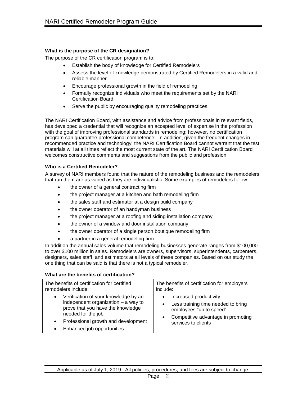# **What is the purpose of the CR designation?**

The purpose of the CR certification program is to:

- Establish the body of knowledge for Certified Remodelers
- Assess the level of knowledge demonstrated by Certified Remodelers in a valid and reliable manner
- Encourage professional growth in the field of remodeling
- Formally recognize individuals who meet the requirements set by the NARI Certification Board
- Serve the public by encouraging quality remodeling practices

The NARI Certification Board, with assistance and advice from professionals in relevant fields, has developed a credential that will recognize an accepted level of expertise in the profession with the goal of improving professional standards in remodeling; however, no certification program can guarantee professional competence. In addition, given the frequent changes in recommended practice and technology, the NARI Certification Board cannot warrant that the test materials will at all times reflect the most current state of the art. The NARI Certification Board welcomes constructive comments and suggestions from the public and profession.

#### **Who is a Certified Remodeler?**

A survey of NARI members found that the nature of the remodeling business and the remodelers that run them are as varied as they are individualistic. Some examples of remodelers follow:

- the owner of a general contracting firm
- the project manager at a kitchen and bath remodeling firm
- the sales staff and estimator at a design build company
- the owner operator of an handyman business
- the project manager at a roofing and siding installation company
- the owner of a window and door installation company
- the owner operator of a single person boutique remodeling firm
- a partner in a general remodeling firm

In addition the annual sales volume that remodeling businesses generate ranges from \$100,000 to over \$100 million in sales. Remodelers are owners, supervisors, superintendents, carpenters, designers, sales staff, and estimators at all levels of these companies. Based on our study the one thing that can be said is that there is not a typical remodeler.

#### **What are the benefits of certification?**

| The benefits of certification for certified                                                                                                                                                                                | The benefits of certification for employers                                                                                                          |
|----------------------------------------------------------------------------------------------------------------------------------------------------------------------------------------------------------------------------|------------------------------------------------------------------------------------------------------------------------------------------------------|
| remodelers include:                                                                                                                                                                                                        | include:                                                                                                                                             |
| Verification of your knowledge by an<br>$\bullet$<br>independent organization $-$ a way to<br>prove that you have the knowledge<br>needed for the job<br>Professional growth and development<br>Enhanced job opportunities | Increased productivity<br>Less training time needed to bring<br>employees "up to speed"<br>Competitive advantage in promoting<br>services to clients |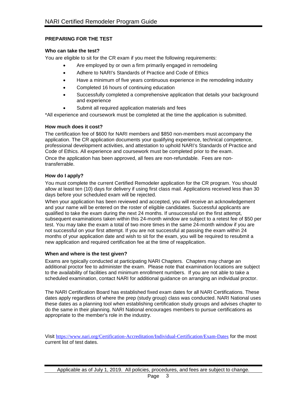# **PREPARING FOR THE TEST**

# **Who can take the test?**

You are eligible to sit for the CR exam if you meet the following requirements:

- Are employed by or own a firm primarily engaged in remodeling
- Adhere to NARI's Standards of Practice and Code of Ethics
- Have a minimum of five years continuous experience in the remodeling industry
- Completed 16 hours of continuing education
- Successfully completed a comprehensive application that details your background and experience
- Submit all required application materials and fees

\*All experience and coursework must be completed at the time the application is submitted.

# **How much does it cost?**

The certification fee of \$600 for NARI members and \$850 non-members must accompany the application. The CR application documents your qualifying experience, technical competence, professional development activities, and attestation to uphold NARI's Standards of Practice and Code of Ethics. All experience and coursework must be completed prior to the exam.

Once the application has been approved, all fees are non-refundable. Fees are nontransferrable.

# **How do I apply?**

You must complete the current Certified Remodeler application for the CR program. You should allow at least ten (10) days for delivery if using first class mail. Applications received less than 30 days before your scheduled exam will be rejected.

When your application has been reviewed and accepted, you will receive an acknowledgement and your name will be entered on the roster of eligible candidates. Successful applicants are qualified to take the exam during the next 24 months. If unsuccessful on the first attempt, subsequent examinations taken within this 24-month window are subject to a retest fee of \$50 per test. You may take the exam a total of two more times in the same 24-month window if you are not successful on your first attempt. If you are not successful at passing the exam within 24 months of your application date and wish to sit for the exam, you will be required to resubmit a new application and required certification fee at the time of reapplication.

#### **When and where is the test given?**

Exams are typically conducted at participating NARI Chapters. Chapters may charge an additional proctor fee to administer the exam. Please note that examination locations are subject to the availability of facilities and minimum enrollment numbers. If you are not able to take a scheduled examination, contact NARI for additional guidance on arranging an individual proctor.

The NARI Certification Board has established fixed exam dates for all NARI Certifications. These dates apply regardless of where the prep (study group) class was conducted. NARI National uses these dates as a planning tool when establishing certification study groups and advises chapter to do the same in their planning. NARI National encourages members to pursue certifications as appropriate to the member's role in the industry.

Visit <https://www.nari.org/Certification-Accreditation/Individual-Certification/Exam-Dates> for the most current list of test dates.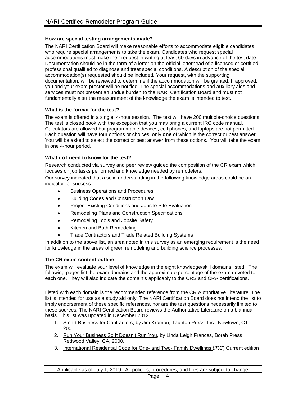### **How are special testing arrangements made?**

The NARI Certification Board will make reasonable efforts to accommodate eligible candidates who require special arrangements to take the exam. Candidates who request special accommodations must make their request in writing at least 60 days in advance of the test date. Documentation should be in the form of a letter on the official letterhead of a licensed or certified professional qualified to diagnose and treat special conditions. A description of the special accommodation(s) requested should be included. Your request, with the supporting documentation, will be reviewed to determine if the accommodation will be granted. If approved, you and your exam proctor will be notified. The special accommodations and auxiliary aids and services must not present an undue burden to the NARI Certification Board and must not fundamentally alter the measurement of the knowledge the exam is intended to test.

#### **What is the format for the test?**

The exam is offered in a single, 4-hour session. The test will have 200 multiple-choice questions. The test is closed book with the exception that you may bring a current IRC code manual. Calculators are allowed but programmable devices, cell phones, and laptops are not permitted. Each question will have four options or choices, only **one** of which is the correct or best answer. You will be asked to select the correct or best answer from these options. You will take the exam in one 4-hour period.

# **What do I need to know for the test?**

Research conducted via survey and peer review guided the composition of the CR exam which focuses on job tasks performed and knowledge needed by remodelers.

Our survey indicated that a solid understanding in the following knowledge areas could be an indicator for success:

- Business Operations and Procedures
- Building Codes and Construction Law
- Project Existing Conditions and Jobsite Site Evaluation
- Remodeling Plans and Construction Specifications
- Remodeling Tools and Jobsite Safety
- Kitchen and Bath Remodeling
- Trade Contractors and Trade Related Building Systems

In addition to the above list, an area noted in this survey as an emerging requirement is the need for knowledge in the areas of green remodeling and building science processes.

#### **The CR exam content outline**

The exam will evaluate your level of knowledge in the eight knowledge/skill domains listed. The following pages list the exam domains and the approximate percentage of the exam devoted to each one. They will also indicate the domain's applicably to the CRS and CRA certifications.

Listed with each domain is the recommended reference from the CR Authoritative Literature. The list is intended for use as a study aid only. The NARI Certification Board does not intend the list to imply endorsement of these specific references, nor are the test questions necessarily limited to these sources. The NARI Certification Board reviews the Authoritative Literature on a biannual basis. This list was updated in December 2012.

- 1. Smart Business for Contractors, by Jim Kramon, Taunton Press, Inc., Newtown, CT, 2001.
- 2. Run Your Business So It Doesn't Run You, by Linda Leigh Frances, Borah Press, Redwood Valley, CA, 2000.
- 3. International Residential Code for One- and Two- Family Dwellings (*IRC*) Current edition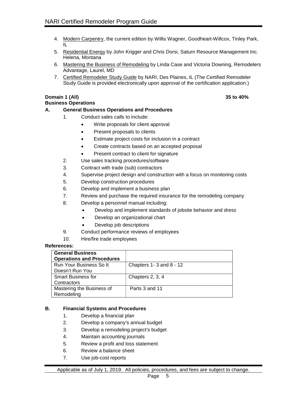- 4. Modern Carpentry, the current edition by Willis Wagner, Goodheart-Willcox, Tinley Park, IL
- 5. Residential Energy by John Krigger and Chris Dorsi, Saturn Resource Management Inc. Helena, Montana
- 6. Mastering the Business of Remodeling by Linda Case and Victoria Downing, Remodelers Advantage, Laurel, MD
- 7. Certified Remodeler Study Guide by NARI, Des Plaines, IL (The Certified Remodeler Study Guide is provided electronically upon approval of the certification application.)

# **Domain 1 (All) 35 to 40%**

#### **Business Operations**

#### **A. General Business Operations and Procedures**

- 1. Conduct sales calls to include:
	- Write proposals for client approval
	- Present proposals to clients
	- Estimate project costs for inclusion in a contract
	- Create contracts based on an accepted proposal
	- Present contract to client for signature
- 2. Use sales tracking procedures/software
- 3. Contract with trade (sub) contractors
- 4. Supervise project design and construction with a focus on monitoring costs
- 5. Develop construction procedures
- 6. Develop and implement a business plan
- 7. Review and purchase the required insurance for the remodeling company
- 8. Develop a personnel manual including:
	- Develop and implement standards of jobsite behavior and dress
	- Develop an organizational chart
	- Develop job descriptions
- 9. Conduct performance reviews of employees
- 10. Hire/fire trade employees

# **References:**

| <b>General Business</b>          |                               |
|----------------------------------|-------------------------------|
| <b>Operations and Procedures</b> |                               |
| Run Your Business So It          | Chapters $1 - 3$ and $8 - 12$ |
| Doesn't Run You                  |                               |
| <b>Smart Business for</b>        | Chapters 2, 3, 4              |
| Contractors                      |                               |
| Mastering the Business of        | Parts 3 and 11                |
| Remodeling                       |                               |

#### **B. Financial Systems and Procedures**

- 1. Develop a financial plan
- 2. Develop a company's annual budget
- 3. Develop a remodeling project's budget
- 4. Maintain accounting journals
- 5. Review a profit and loss statement
- 6. Review a balance sheet
- 7. Use job-cost reports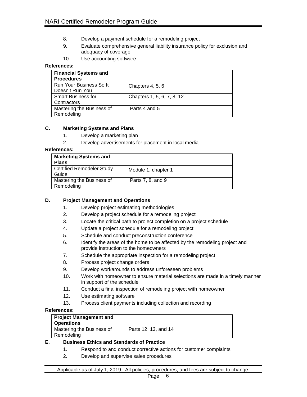- 8. Develop a payment schedule for a remodeling project
- 9. Evaluate comprehensive general liability insurance policy for exclusion and adequacy of coverage
- 10. Use accounting software

| <b>Financial Systems and</b><br><b>Procedures</b> |                            |
|---------------------------------------------------|----------------------------|
| Run Your Business So It                           | Chapters 4, 5, 6           |
| Doesn't Run You                                   |                            |
| <b>Smart Business for</b>                         | Chapters 1, 5, 6, 7, 8, 12 |
| Contractors                                       |                            |
| Mastering the Business of                         | Parts 4 and 5              |
| Remodeling                                        |                            |

# **C. Marketing Systems and Plans**

- 1. Develop a marketing plan
- 2. Develop advertisements for placement in local media

#### **References:**

| <b>Marketing Systems and</b><br><b>Plans</b> |                     |
|----------------------------------------------|---------------------|
| <b>Certified Remodeler Study</b><br>Guide    | Module 1, chapter 1 |
| Mastering the Business of<br>Remodeling      | Parts 7, 8, and 9   |

# **D. Project Management and Operations**

- 1. Develop project estimating methodologies
- 2. Develop a project schedule for a remodeling project
- 3. Locate the critical path to project completion on a project schedule
- 4. Update a project schedule for a remodeling project
- 5. Schedule and conduct preconstruction conference
- 6. Identify the areas of the home to be affected by the remodeling project and provide instruction to the homeowners
- 7. Schedule the appropriate inspection for a remodeling project
- 8. Process project change orders
- 9. Develop workarounds to address unforeseen problems
- 10. Work with homeowner to ensure material selections are made in a timely manner in support of the schedule
- 11. Conduct a final inspection of remodeling project with homeowner
- 12. Use estimating software
- 13. Process client payments including collection and recording

#### **References:**

| <b>Project Management and</b><br><b>Operations</b> |                      |
|----------------------------------------------------|----------------------|
| Mastering the Business of<br>Remodeling            | Parts 12, 13, and 14 |

# **E. Business Ethics and Standards of Practice**

- 1. Respond to and conduct corrective actions for customer complaints
- 2. Develop and supervise sales procedures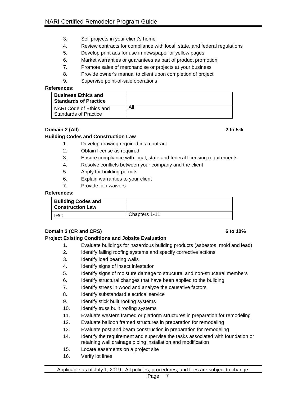- 3. Sell projects in your client's home
- 4. Review contracts for compliance with local, state, and federal regulations
- 5. Develop print ads for use in newspaper or yellow pages
- 6. Market warranties or guarantees as part of product promotion
- 7. Promote sales of merchandise or projects at your business
- 8. Provide owner's manual to client upon completion of project
- 9. Supervise point-of-sale operations

| <b>Business Ethics and</b><br><b>Standards of Practice</b> |     |
|------------------------------------------------------------|-----|
| NARI Code of Ethics and<br>Standards of Practice           | All |

# **Domain 2 (All) 2 to 5%**

# **Building Codes and Construction Law**

- 1. Develop drawing required in a contract
- 2. Obtain license as required
- 3. Ensure compliance with local, state and federal licensing requirements
- 4. Resolve conflicts between your company and the client
- 5. Apply for building permits
- 6. Explain warranties to your client
- 7. Provide lien waivers

# **References:**

| <b>Building Codes and</b><br><b>Construction Law</b> |               |
|------------------------------------------------------|---------------|
| IRC.                                                 | Chapters 1-11 |

# **Domain 3 (CR and CRS) 6 to 10%**

#### **Project Existing Conditions and Jobsite Evaluation**

- 1. Evaluate buildings for hazardous building products (asbestos, mold and lead)
- 2. Identify failing roofing systems and specify corrective actions
- 3. Identify load bearing walls
- 4. Identify signs of insect infestation
- 5. Identify signs of moisture damage to structural and non-structural members
- 6. Identify structural changes that have been applied to the building
- 7. Identify stress in wood and analyze the causative factors
- 8. Identify substandard electrical service
- 9. Identify stick built roofing systems
- 10. Identify truss built roofing systems
- 11. Evaluate western framed or platform structures in preparation for remodeling
- 12. Evaluate balloon framed structures in preparation for remodeling
- 13. Evaluate post and beam construction in preparation for remodeling
- 14. Identify the requirement and supervise the tasks associated with foundation or retaining wall drainage piping installation and modification
- 15. Locate easements on a project site
- 16. Verify lot lines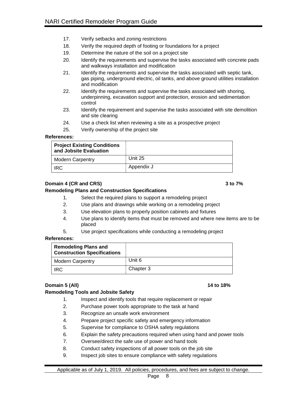- 17. Verify setbacks and zoning restrictions
- 18. Verify the required depth of footing or foundations for a project
- 19. Determine the nature of the soil on a project site
- 20. Identify the requirements and supervise the tasks associated with concrete pads and walkways installation and modification
- 21. Identify the requirements and supervise the tasks associated with septic tank, gas piping, underground electric, oil tanks, and above ground utilities installation and modification
- 22. Identify the requirements and supervise the tasks associated with shoring, underpinning, excavation support and protection, erosion and sedimentation control
- 23. Identify the requirement and supervise the tasks associated with site demolition and site clearing
- 24. Use a check list when reviewing a site as a prospective project
- 25. Verify ownership of the project site

| <b>Project Existing Conditions</b><br>and Jobsite Evaluation |            |
|--------------------------------------------------------------|------------|
| <b>Modern Carpentry</b>                                      | Unit 25    |
| <b>IRC</b>                                                   | Appendix J |

# **Domain 4 (CR and CRS) 3 to 7%**

# **Remodeling Plans and Construction Specifications**

- 1. Select the required plans to support a remodeling project
- 2. Use plans and drawings while working on a remodeling project
- 3. Use elevation plans to properly position cabinets and fixtures
- 4. Use plans to identify items that must be removed and where new items are to be placed
- 5. Use project specifications while conducting a remodeling project

#### **References:**

| <b>Remodeling Plans and</b><br><b>Construction Specifications</b> |           |
|-------------------------------------------------------------------|-----------|
| <b>Modern Carpentry</b>                                           | Unit 6    |
| <b>IRC</b>                                                        | Chapter 3 |

# **Domain 5 (All) 14 to 18%**

# **Remodeling Tools and Jobsite Safety**

- 1. Inspect and identify tools that require replacement or repair
- 2. Purchase power tools appropriate to the task at hand
- 3. Recognize an unsafe work environment
- 4. Prepare project specific safety and emergency information
- 5. Supervise for compliance to OSHA safety regulations
- 6. Explain the safety precautions required when using hand and power tools
- 7. Oversee/direct the safe use of power and hand tools
- 8. Conduct safety inspections of all power tools on the job site
- 9. Inspect job sites to ensure compliance with safety regulations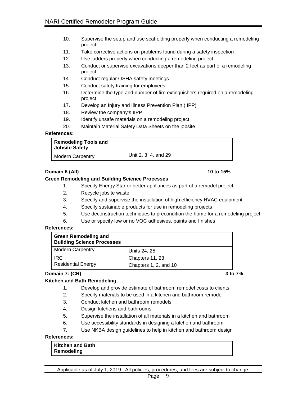- 10. Supervise the setup and use scaffolding properly when conducting a remodeling project
- 11. Take corrective actions on problems found during a safety inspection
- 12. Use ladders properly when conducting a remodeling project
- 13. Conduct or supervise excavations deeper than 2 feet as part of a remodeling project
- 14. Conduct regular OSHA safety meetings
- 15. Conduct safety training for employees
- 16. Determine the type and number of fire extinguishers required on a remodeling project
- 17. Develop an Injury and Illness Prevention Plan (IIPP)
- 18. Review the company's IIPP
- 19. Identify unsafe materials on a remodeling project
- 20. Maintain Material Safety Data Sheets on the jobsite

| <b>Remodeling Tools and</b><br><b>Jobsite Safety</b> |                      |
|------------------------------------------------------|----------------------|
| <b>Modern Carpentry</b>                              | Unit 2, 3, 4, and 29 |

# **Domain 6 (All) 10 to 15%**

# **Green Remodeling and Building Science Processes**

- 1. Specify Energy Star or better appliances as part of a remodel project
- 2. Recycle jobsite waste
- 3. Specify and supervise the installation of high efficiency HVAC equipment
- 4. Specify sustainable products for use in remodeling projects
- 5. Use deconstruction techniques to precondition the home for a remodeling project
- 6. Use or specify low or no VOC adhesives, paints and finishes

#### **References:**

| <b>Green Remodeling and</b><br><b>Building Science Processes</b> |                       |
|------------------------------------------------------------------|-----------------------|
| <b>Modern Carpentry</b>                                          | Units 24, 25          |
| IRC                                                              | Chapters 11, 23       |
| <b>Residential Energy</b>                                        | Chapters 1, 2, and 10 |

#### **Domain 7: (CR) 3 to 7%**

#### **Kitchen and Bath Remodeling**

- 1. Develop and provide estimate of bathroom remodel costs to clients
- 2. Specify materials to be used in a kitchen and bathroom remodel
- 3. Conduct kitchen and bathroom remodels
- 4. Design kitchens and bathrooms
- 5. Supervise the installation of all materials in a kitchen and bathroom
- 6. Use accessibility standards in designing a kitchen and bathroom
- 7. Use NKBA design guidelines to help in kitchen and bathroom design

#### **References:**

| <b>Kitchen and Bath</b> |  |
|-------------------------|--|
| Remodeling              |  |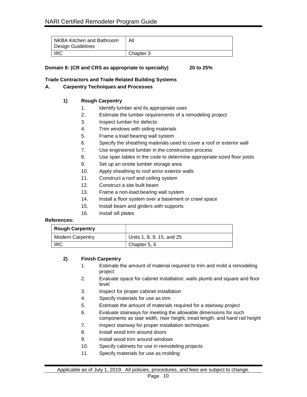| NKBA Kitchen and Bathroom<br>Design Guidelines | Αll       |
|------------------------------------------------|-----------|
| <b>IRC</b>                                     | Chapter 3 |

| Domain 8: (CR and CRS as appropriate to specialty) |  | 20 to 25% |
|----------------------------------------------------|--|-----------|
|                                                    |  |           |

# **Trade Contractors and Trade Related Building Systems**

# **A. Carpentry Techniques and Processes**

# **1) Rough Carpentry**

- 1. Identify lumber and its appropriate uses
- 2. Estimate the lumber requirements of a remodeling project
- 3. Inspect lumber for defects
- 4. Trim windows with siding materials
- 5. Frame a load bearing wall system
- 6. Specify the sheathing materials used to cover a roof or exterior wall
- 7. Use engineered lumber in the construction process
- 8. Use span tables in the code to determine appropriate sized floor joists
- 9. Set up an onsite lumber storage area
- 10. Apply sheathing to roof an/or exterior walls
- 11. Construct a roof and ceiling system
- 12. Construct a site built beam
- 13. Frame a non-load bearing wall system
- 14. Install a floor system over a basement or crawl space
- 15. Install beam and girders with supports
- 16. Install sill plates

#### **References:**

| <b>Rough Carpentry</b> |                           |
|------------------------|---------------------------|
| Modern Carpentry       | Units 1, 8, 9, 15, and 25 |
| <b>IRC</b>             | Chapter 5, 6              |

# **2) Finish Carpentry**

- 1. Estimate the amount of material required to trim and mold a remodeling project
- 2. Evaluate space for cabinet installation, walls plumb and square and floor level
- 3. Inspect for proper cabinet installation
- 4. Specify materials for use as trim
- 5. Estimate the amount of materials required for a stairway project
- 6. Evaluate stairways for meeting the allowable dimensions for such components as stair width, riser height, tread length, and hand rail height
- 7. Inspect stairway for proper installation techniques
- 8. Install wood trim around doors
- 9. Install wood trim around windows
- 10. Specify cabinets for use in remodeling projects
- 11. Specify materials for use as molding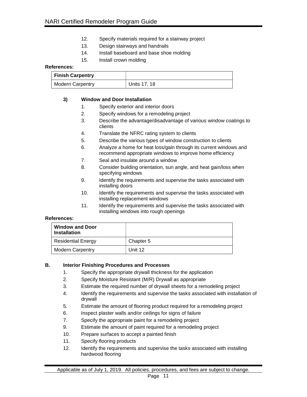- 12. Specify materials required for a stairway project
- 13. Design stairways and handrails
- 14. Install baseboard and base shoe molding
- 15. Install crown molding

| <b>Finish Carpentry</b> |              |
|-------------------------|--------------|
| Modern Carpentry        | Units 17, 18 |

#### **3) Window and Door Installation**

- 1. Specify exterior and interior doors
- 2. Specify windows for a remodeling project
- 3. Describe the advantage/disadvantage of various window coatings to clients
- 4. Translate the NFRC rating system to clients
- 5. Describe the various types of window construction to clients
- 6. Analyze a home for heat loss/gain through its current windows and recommend appropriate windows to improve home efficiency
- 7. Seal and insulate around a window
- 8. Consider building orientation, sun angle, and heat gain/loss when specifying windows
- 9. Identify the requirements and supervise the tasks associated with installing doors
- 10. Identify the requirements and supervise the tasks associated with installing replacement windows
- 11. Identify the requirements and supervise the tasks associated with installing windows into rough openings

#### **References:**

| <b>Window and Door</b><br><b>Installation</b> |           |
|-----------------------------------------------|-----------|
| <b>Residential Energy</b>                     | Chapter 5 |
| <b>Modern Carpentry</b>                       | Unit 12   |

### **B. Interior Finishing Procedures and Processes**

- 1. Specify the appropriate drywall thickness for the application
- 2. Specify Moisture Resistant (M/R) Drywall as appropriate
- 3. Estimate the required number of drywall sheets for a remodeling project
- 4. Identify the requirements and supervise the tasks associated with installation of drywall
- 5. Estimate the amount of flooring product required for a remodeling project
- 6. Inspect plaster walls and/or ceilings for signs of failure
- 7. Specify the appropriate paint for a remodeling project
- 9. Estimate the amount of paint required for a remodeling project
- 10. Prepare surfaces to accept a painted finish
- 11. Specify flooring products
- 12. Identify the requirements and supervise the tasks associated with installing hardwood flooring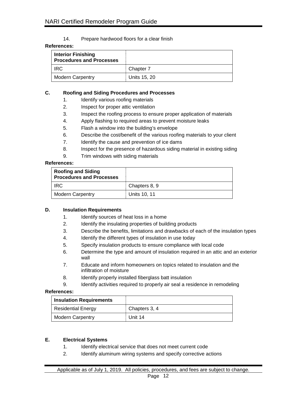#### 14. Prepare hardwood floors for a clear finish

#### **References:**

| <b>Interior Finishing</b><br><b>Procedures and Processes</b> |              |
|--------------------------------------------------------------|--------------|
| IRC.                                                         | Chapter 7    |
| <b>Modern Carpentry</b>                                      | Units 15, 20 |

#### **C. Roofing and Siding Procedures and Processes**

- 1. Identify various roofing materials
- 2. Inspect for proper attic ventilation
- 3. Inspect the roofing process to ensure proper application of materials
- 4. Apply flashing to required areas to prevent moisture leaks
- 5. Flash a window into the building's envelope
- 6. Describe the cost/benefit of the various roofing materials to your client
- 7. Identify the cause and prevention of ice dams
- 8. Inspect for the presence of hazardous siding material in existing siding
- 9. Trim windows with siding materials

# **References:**

| <b>Roofing and Siding</b><br><b>Procedures and Processes</b> |               |
|--------------------------------------------------------------|---------------|
| <b>IRC</b>                                                   | Chapters 8, 9 |
| <b>Modern Carpentry</b>                                      | Units 10, 11  |

#### **D. Insulation Requirements**

- 1. Identify sources of heat loss in a home
- 2. Identify the insulating properties of building products
- 3. Describe the benefits, limitations and drawbacks of each of the insulation types
- 4. Identify the different types of insulation in use today
- 5. Specify insulation products to ensure compliance with local code
- 6. Determine the type and amount of insulation required in an attic and an exterior wall
- 7. Educate and inform homeowners on topics related to insulation and the infiltration of moisture
- 8. Identify properly installed fiberglass batt insulation
- 9. Identify activities required to properly air seal a residence in remodeling

#### **References:**

| <b>Insulation Requirements</b> |               |
|--------------------------------|---------------|
| <b>Residential Energy</b>      | Chapters 3, 4 |
| <b>Modern Carpentry</b>        | Unit 14       |

#### **E. Electrical Systems**

- 1. Identify electrical service that does not meet current code
- 2. Identify aluminum wiring systems and specify corrective actions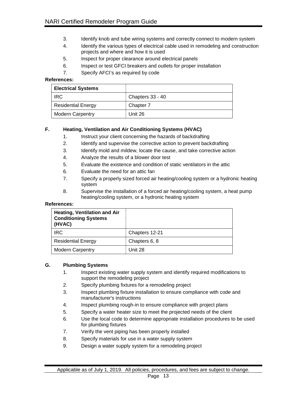- 3. Identify knob and tube wiring systems and correctly connect to modern system
- 4. Identify the various types of electrical cable used in remodeling and construction projects and where and how it is used
- 5. Inspect for proper clearance around electrical panels
- 6. Inspect or test GFCI breakers and outlets for proper installation
- 7. Specify AFCI's as required by code

| <b>Electrical Systems</b> |                  |
|---------------------------|------------------|
| <b>IRC</b>                | Chapters 33 - 40 |
| <b>Residential Energy</b> | Chapter 7        |
| <b>Modern Carpentry</b>   | Unit 26          |

# **F. Heating, Ventilation and Air Conditioning Systems (HVAC)**

- 1. Instruct your client concerning the hazards of backdrafting
- 2. Identify and supervise the corrective action to prevent backdrafting
- 3. Identify mold and mildew, locate the cause, and take corrective action
- 4. Analyze the results of a blower door test
- 5. Evaluate the existence and condition of static ventilators in the attic
- 6. Evaluate the need for an attic fan
- 7. Specify a properly sized forced air heating/cooling system or a hydronic heating system
- 8. Supervise the installation of a forced air heating/cooling system, a heat pump heating/cooling system, or a hydronic heating system

# **References:**

| <b>Heating, Ventilation and Air</b><br><b>Conditioning Systems</b><br>(HVAC) |                |
|------------------------------------------------------------------------------|----------------|
| <b>IRC</b>                                                                   | Chapters 12-21 |
| <b>Residential Energy</b>                                                    | Chapters 6, 8  |
| <b>Modern Carpentry</b>                                                      | Unit 28        |

### **G. Plumbing Systems**

- 1. Inspect existing water supply system and identify required modifications to support the remodeling project
- 2. Specify plumbing fixtures for a remodeling project
- 3. Inspect plumbing fixture installation to ensure compliance with code and manufacturer's instructions
- 4. Inspect plumbing rough-in to ensure compliance with project plans
- 5. Specify a water heater size to meet the projected needs of the client
- 6. Use the local code to determine appropriate installation procedures to be used for plumbing fixtures
- 7. Verify the vent piping has been properly installed
- 8. Specify materials for use in a water supply system
- 9. Design a water supply system for a remodeling project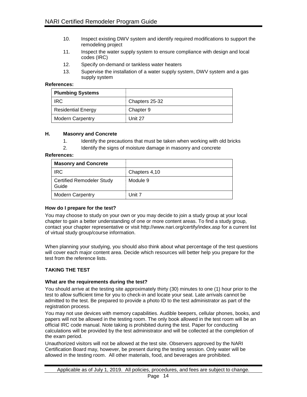- 10. Inspect existing DWV system and identify required modifications to support the remodeling project
- 11. Inspect the water supply system to ensure compliance with design and local codes (IRC)
- 12. Specify on-demand or tankless water heaters
- 13. Supervise the installation of a water supply system, DWV system and a gas supply system

| <b>Plumbing Systems</b>   |                |
|---------------------------|----------------|
| <b>IRC</b>                | Chapters 25-32 |
| <b>Residential Energy</b> | Chapter 9      |
| <b>Modern Carpentry</b>   | Unit 27        |

# **H. Masonry and Concrete**

- 1. Identify the precautions that must be taken when working with old bricks
- 2. Identify the signs of moisture damage in masonry and concrete

#### **References:**

| <b>Masonry and Concrete</b>               |               |
|-------------------------------------------|---------------|
| <b>IRC</b>                                | Chapters 4,10 |
| <b>Certified Remodeler Study</b><br>Guide | Module 9      |
| <b>Modern Carpentry</b>                   | Unit 7        |

# **How do I prepare for the test?**

You may choose to study on your own or you may decide to join a study group at your local chapter to gain a better understanding of one or more content areas. To find a study group, contact your chapter representative or visit<http://www.nari.org/certify/index.asp> for a current list of virtual study group/course information.

When planning your studying, you should also think about what percentage of the test questions will cover each major content area. Decide which resources will better help you prepare for the test from the reference lists.

# **TAKING THE TEST**

#### **What are the requirements during the test?**

You should arrive at the testing site approximately thirty (30) minutes to one (1) hour prior to the test to allow sufficient time for you to check-in and locate your seat. Late arrivals cannot be admitted to the test. Be prepared to provide a photo ID to the test administrator as part of the registration process.

You may not use devices with memory capabilities. Audible beepers, cellular phones, books, and papers will not be allowed in the testing room. The only book allowed in the test room will be an official IRC code manual. Note taking is prohibited during the test. Paper for conducting calculations will be provided by the test administrator and will be collected at the completion of the exam period.

Unauthorized visitors will not be allowed at the test site. Observers approved by the NARI Certification Board may, however, be present during the testing session. Only water will be allowed in the testing room. All other materials, food, and beverages are prohibited.

Applicable as of July 1, 2019. All policies, procedures, and fees are subject to change.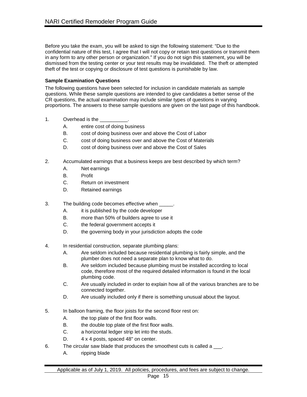Before you take the exam, you will be asked to sign the following statement: "Due to the confidential nature of this test, I agree that I will not copy or retain test questions or transmit them in any form to any other person or organization." If you do not sign this statement, you will be dismissed from the testing center or your test results may be invalidated. The theft or attempted theft of the test or copying or disclosure of test questions is punishable by law.

# **Sample Examination Questions**

The following questions have been selected for inclusion in candidate materials as sample questions. While these sample questions are intended to give candidates a better sense of the CR questions, the actual examination may include similar types of questions in varying proportions. The answers to these sample questions are given on the last page of this handbook.

- 1. Overhead is the
	- A. entire cost of doing business
	- B. cost of doing business over and above the Cost of Labor
	- C. cost of doing business over and above the Cost of Materials
	- D. cost of doing business over and above the Cost of Sales
- 2. Accumulated earnings that a business keeps are best described by which term?
	- A. Net earnings
	- B. Profit
	- C. Return on investment
	- D. Retained earnings
- 3. The building code becomes effective when  $\blacksquare$ .
	- A. it is published by the code developer
	- B. more than 50% of builders agree to use it
	- C. the federal government accepts it
	- D. the governing body in your jurisdiction adopts the code
- 4. In residential construction, separate plumbing plans:
	- A. Are seldom included because residential plumbing is fairly simple, and the plumber does not need a separate plan to know what to do.
	- B. Are seldom included because plumbing must be installed according to local code, therefore most of the required detailed information is found in the local plumbing code.
	- C. Are usually included in order to explain how all of the various branches are to be connected together.
	- D. Are usually included only if there is something unusual about the layout.
- 5. In balloon framing, the floor joists for the second floor rest on:
	- A. the top plate of the first floor walls.
	- B. the double top plate of the first floor walls.
	- C. a horizontal ledger strip let into the studs.
	- D. 4 x 4 posts, spaced 48" on center.
- 6. The circular saw blade that produces the smoothest cuts is called a \_\_\_.
	- A. ripping blade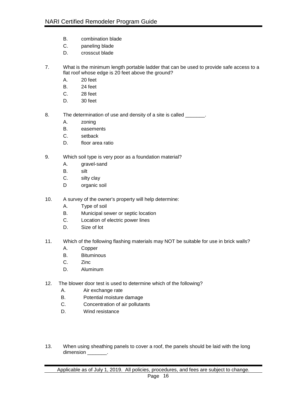- B. combination blade
- C. paneling blade
- D. crosscut blade
- 7. What is the minimum length portable ladder that can be used to provide safe access to a flat roof whose edge is 20 feet above the ground?
	- A. 20 feet
	- B. 24 feet
	- C. 28 feet
	- D. 30 feet
- 8. The determination of use and density of a site is called \_\_\_\_\_\_\_.
	- A. zoning
	- B. easements
	- C. setback
	- D. floor area ratio
- 9. Which soil type is very poor as a foundation material?
	- A. gravel-sand
	- B. silt
	- C. silty clay
	- D organic soil
- 10. A survey of the owner's property will help determine:
	- A. Type of soil
	- B. Municipal sewer or septic location
	- C. Location of electric power lines
	- D. Size of lot
- 11. Which of the following flashing materials may NOT be suitable for use in brick walls?
	- A. Copper
	- B. Bituminous
	- C. Zinc
	- D. Aluminum
- 12. The blower door test is used to determine which of the following?
	- A. Air exchange rate
	- B. Potential moisture damage
	- C. Concentration of air pollutants
	- D. Wind resistance
- 13. When using sheathing panels to cover a roof, the panels should be laid with the long dimension \_\_\_\_\_\_\_\_.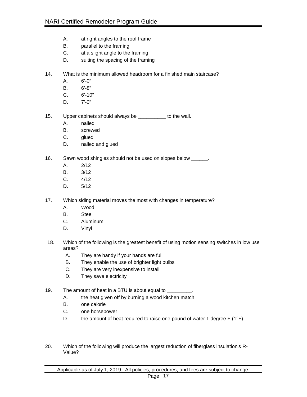- A. at right angles to the roof frame
- B. parallel to the framing
- C. at a slight angle to the framing
- D. suiting the spacing of the framing
- 14. What is the minimum allowed headroom for a finished main staircase?
	- A. 6'-0"
	- B. 6'-8"
	- C. 6'-10"
	- $D. 7' 0''$
- 15. Upper cabinets should always be \_\_\_\_\_\_\_\_\_\_ to the wall.
	- A. nailed
	- B. screwed
	- C. glued
	- D. nailed and glued
- 16. Sawn wood shingles should not be used on slopes below \_\_\_\_\_\_.
	- A. 2/12
	- B. 3/12
	- C. 4/12
	- D. 5/12
- 17. Which siding material moves the most with changes in temperature?
	- A. Wood
	- B. Steel
	- C. Aluminum
	- D. Vinyl
- 18. Which of the following is the greatest benefit of using motion sensing switches in low use areas?
	- A. They are handy if your hands are full
	- B. They enable the use of brighter light bulbs
	- C. They are very inexpensive to install
	- D. They save electricity
- 19. The amount of heat in a BTU is about equal to \_\_\_\_\_
	- A. the heat given off by burning a wood kitchen match
	- B. one calorie
	- C. one horsepower
	- D. the amount of heat required to raise one pound of water 1 degree  $F(1^{\circ}F)$
- 20. Which of the following will produce the largest reduction of fiberglass insulation's R-Value?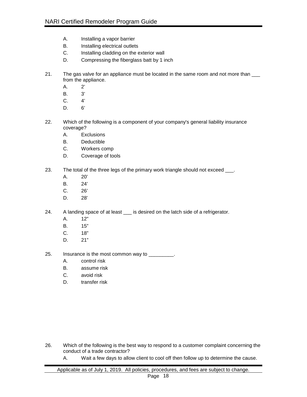- A. Installing a vapor barrier
- B. Installing electrical outlets
- C. Installing cladding on the exterior wall
- D. Compressing the fiberglass batt by 1 inch
- 21. The gas valve for an appliance must be located in the same room and not more than  $\_\_$ from the appliance.
	- A. 2'
	- B. 3'
	- C. 4'
	- D. 6'
- 22. Which of the following is a component of your company's general liability insurance coverage?
	- A. Exclusions
	- B. Deductible
	- C. Workers comp
	- D. Coverage of tools
- 23. The total of the three legs of the primary work triangle should not exceed \_\_\_.
	- A. 20'
	- B. 24'
	- C. 26'
	- D. 28'
- 24. A landing space of at least \_\_\_ is desired on the latch side of a refrigerator.
	- A. 12"
	- B. 15"
	- C. 18"
	- D. 21"
- 25. Insurance is the most common way to \_\_\_\_\_\_\_\_.
	- A. control risk
	- B. assume risk
	- C. avoid risk
	- D. transfer risk

- 26. Which of the following is the best way to respond to a customer complaint concerning the conduct of a trade contractor?
	- A. Wait a few days to allow client to cool off then follow up to determine the cause.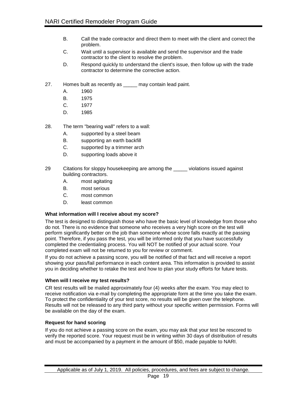- B. Call the trade contractor and direct them to meet with the client and correct the problem.
- C. Wait until a supervisor is available and send the supervisor and the trade contractor to the client to resolve the problem.
- D. Respond quickly to understand the client's issue, then follow up with the trade contractor to determine the corrective action.
- 27. Homes built as recently as may contain lead paint.
	- A. 1960
	- B. 1975
	- C. 1977
	- D. 1985
- 28. The term "bearing wall" refers to a wall:
	- A. supported by a steel beam
	- B. supporting an earth backfill
	- C. supported by a trimmer arch
	- D. supporting loads above it
- 29 Citations for sloppy housekeeping are among the \_\_\_\_\_ violations issued against building contractors.
	- A. most agitating
	- B. most serious
	- C. most common
	- D. least common

#### **What information will I receive about my score?**

The test is designed to distinguish those who have the basic level of knowledge from those who do not. There is no evidence that someone who receives a very high score on the test will perform significantly better on the job than someone whose score falls exactly at the passing point. Therefore, if you pass the test, you will be informed only that you have successfully completed the credentialing process. You will NOT be notified of your actual score. Your completed exam will not be returned to you for review or comment.

If you do not achieve a passing score, you will be notified of that fact and will receive a report showing your pass/fail performance in each content area. This information is provided to assist you in deciding whether to retake the test and how to plan your study efforts for future tests.

#### **When will I receive my test results?**

CR test results will be mailed approximately four (4) weeks after the exam. You may elect to receive notification via e-mail by completing the appropriate form at the time you take the exam. To protect the confidentiality of your test score, no results will be given over the telephone. Results will not be released to any third party without your specific written permission. Forms will be available on the day of the exam.

#### **Request for hand scoring**

If you do not achieve a passing score on the exam, you may ask that your test be rescored to verify the reported score. Your request must be in writing within 30 days of distribution of results and must be accompanied by a payment in the amount of \$50, made payable to NARI.